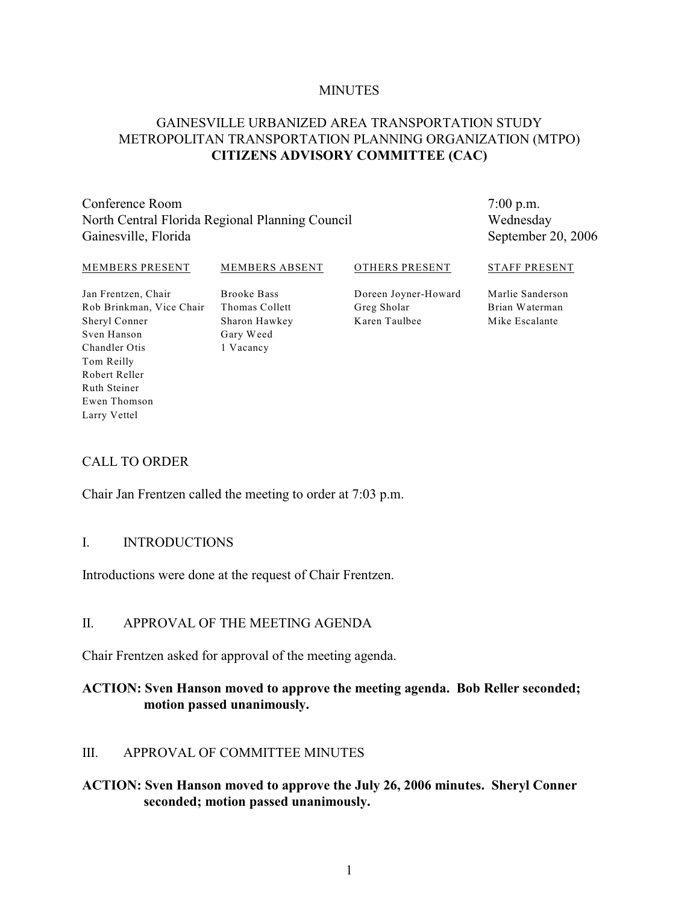#### **MINUTES**

### GAINESVILLE URBANIZED AREA TRANSPORTATION STUDY METROPOLITAN TRANSPORTATION PLANNING ORGANIZATION (MTPO) **CITIZENS ADVISORY COMMITTEE (CAC)**

Conference Room North Central Florida Regional Planning Council Gainesville, Florida

7:00 p.m. Wednesday September 20, 2006

#### MEMBERS PRESENT

#### MEMBERS ABSENT

OTHERS PRESENT

Jan Frentzen, Chair Rob Brinkman, Vice Chair Sheryl Conner Sven Hanson Chandler Otis Tom Reilly Robert Reller Ruth Steiner Ewen Thomson Larry Vettel

Brooke Bass Thomas Collett Sharon Hawkey Gary Weed 1 Vacancy

Doreen Joyner-Howard Greg Sholar Karen Taulbee

Marlie Sanderson Brian Waterman Mike Escalante

STAFF PRESENT

#### CALL TO ORDER

Chair Jan Frentzen called the meeting to order at 7:03 p.m.

#### I. INTRODUCTIONS

Introductions were done at the request of Chair Frentzen.

#### II. APPROVAL OF THE MEETING AGENDA

Chair Frentzen asked for approval of the meeting agenda.

#### **ACTION: Sven Hanson moved to approve the meeting agenda. Bob Reller seconded; motion passed unanimously.**

#### III. APPROVAL OF COMMITTEE MINUTES

#### **ACTION: Sven Hanson moved to approve the July 26, 2006 minutes. Sheryl Conner seconded; motion passed unanimously.**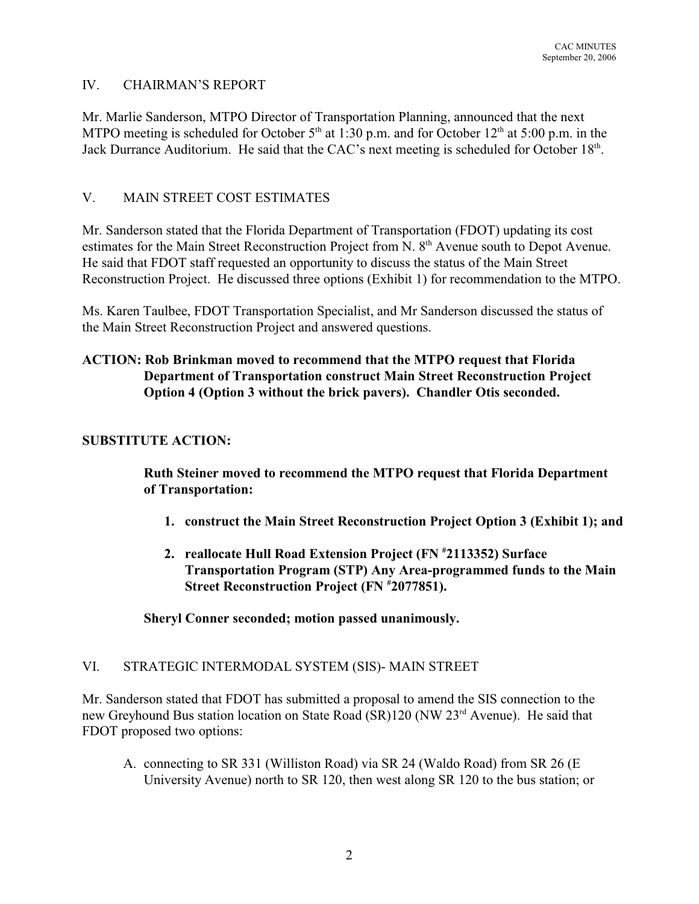### IV. CHAIRMAN'S REPORT

Mr. Marlie Sanderson, MTPO Director of Transportation Planning, announced that the next MTPO meeting is scheduled for October  $5<sup>th</sup>$  at 1:30 p.m. and for October 12<sup>th</sup> at 5:00 p.m. in the Jack Durrance Auditorium. He said that the CAC's next meeting is scheduled for October  $18<sup>th</sup>$ .

# V. MAIN STREET COST ESTIMATES

Mr. Sanderson stated that the Florida Department of Transportation (FDOT) updating its cost estimates for the Main Street Reconstruction Project from N. 8<sup>th</sup> Avenue south to Depot Avenue. He said that FDOT staff requested an opportunity to discuss the status of the Main Street Reconstruction Project. He discussed three options (Exhibit 1) for recommendation to the MTPO.

Ms. Karen Taulbee, FDOT Transportation Specialist, and Mr Sanderson discussed the status of the Main Street Reconstruction Project and answered questions.

# **ACTION: Rob Brinkman moved to recommend that the MTPO request that Florida Department of Transportation construct Main Street Reconstruction Project Option 4 (Option 3 without the brick pavers). Chandler Otis seconded.**

### **SUBSTITUTE ACTION:**

**Ruth Steiner moved to recommend the MTPO request that Florida Department of Transportation:**

- **1. construct the Main Street Reconstruction Project Option 3 (Exhibit 1); and**
- **2. reallocate Hull Road Extension Project (FN #2113352) Surface Transportation Program (STP) Any Area-programmed funds to the Main Street Reconstruction Project (FN**  $*2077851$ **).**

**Sheryl Conner seconded; motion passed unanimously.**

### VI. STRATEGIC INTERMODAL SYSTEM (SIS)- MAIN STREET

Mr. Sanderson stated that FDOT has submitted a proposal to amend the SIS connection to the new Greyhound Bus station location on State Road (SR)120 (NW 23<sup>rd</sup> Avenue). He said that FDOT proposed two options:

A. connecting to SR 331 (Williston Road) via SR 24 (Waldo Road) from SR 26 (E University Avenue) north to SR 120, then west along SR 120 to the bus station; or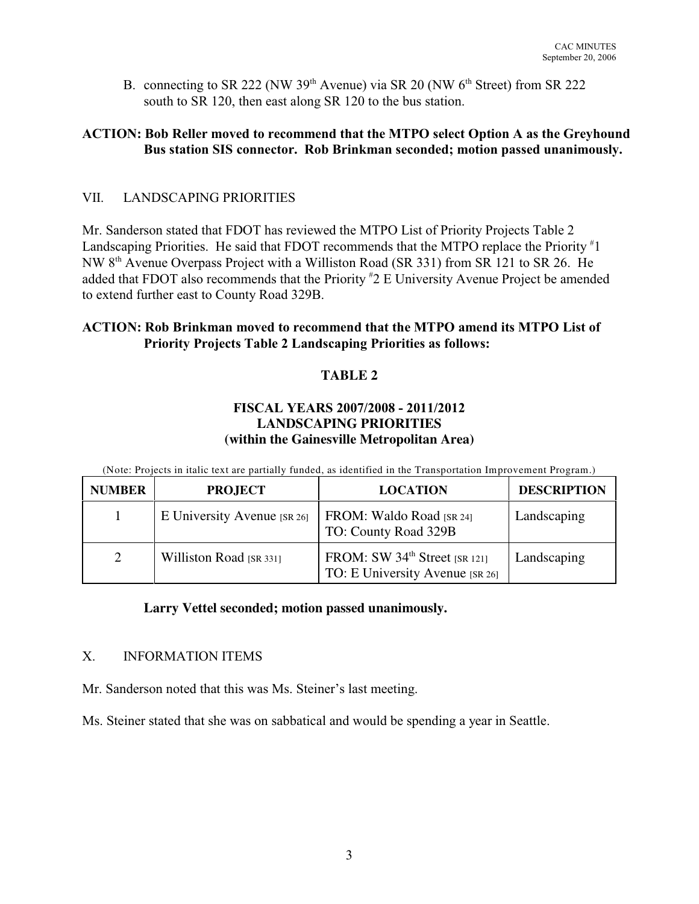B. connecting to SR 222 (NW 39<sup>th</sup> Avenue) via SR 20 (NW  $6<sup>th</sup>$  Street) from SR 222 south to SR 120, then east along SR 120 to the bus station.

# **ACTION: Bob Reller moved to recommend that the MTPO select Option A as the Greyhound Bus station SIS connector. Rob Brinkman seconded; motion passed unanimously.**

# VII. LANDSCAPING PRIORITIES

Mr. Sanderson stated that FDOT has reviewed the MTPO List of Priority Projects Table 2 Landscaping Priorities. He said that FDOT recommends that the MTPO replace the Priority #1 NW 8<sup>th</sup> Avenue Overpass Project with a Williston Road (SR 331) from SR 121 to SR 26. He added that FDOT also recommends that the Priority  $*2 \to$  University Avenue Project be amended to extend further east to County Road 329B.

# **ACTION: Rob Brinkman moved to recommend that the MTPO amend its MTPO List of Priority Projects Table 2 Landscaping Priorities as follows:**

# **TABLE 2**

### **FISCAL YEARS 2007/2008 - 2011/2012 LANDSCAPING PRIORITIES (within the Gainesville Metropolitan Area)**

(Note: Projects in italic text are partially funded, as identified in the Transportation Improvement Program.)

| <b>NUMBER</b> | <b>PROJECT</b>              | <b>LOCATION</b>                                                              | <b>DESCRIPTION</b> |
|---------------|-----------------------------|------------------------------------------------------------------------------|--------------------|
|               | E University Avenue [SR 26] | FROM: Waldo Road [SR 24]<br>TO: County Road 329B                             | Landscaping        |
| 2             | Williston Road [SR 331]     | FROM: SW 34 <sup>th</sup> Street [SR 121]<br>TO: E University Avenue [SR 26] | Landscaping        |

### **Larry Vettel seconded; motion passed unanimously.**

### X. INFORMATION ITEMS

Mr. Sanderson noted that this was Ms. Steiner's last meeting.

Ms. Steiner stated that she was on sabbatical and would be spending a year in Seattle.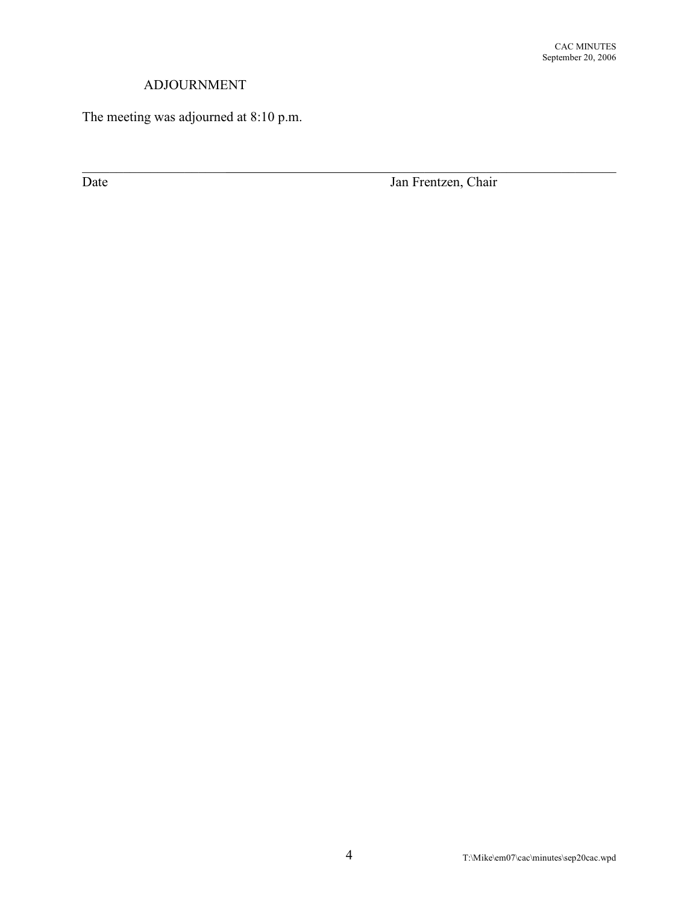# ADJOURNMENT

The meeting was adjourned at 8:10 p.m.

Date Jan Frentzen, Chair

\_\_\_\_\_\_\_\_\_\_\_\_\_\_\_\_\_\_\_\_\_ \_\_\_\_\_\_\_\_\_\_\_\_\_\_\_\_\_\_\_\_\_\_\_\_\_\_\_\_\_\_\_\_\_